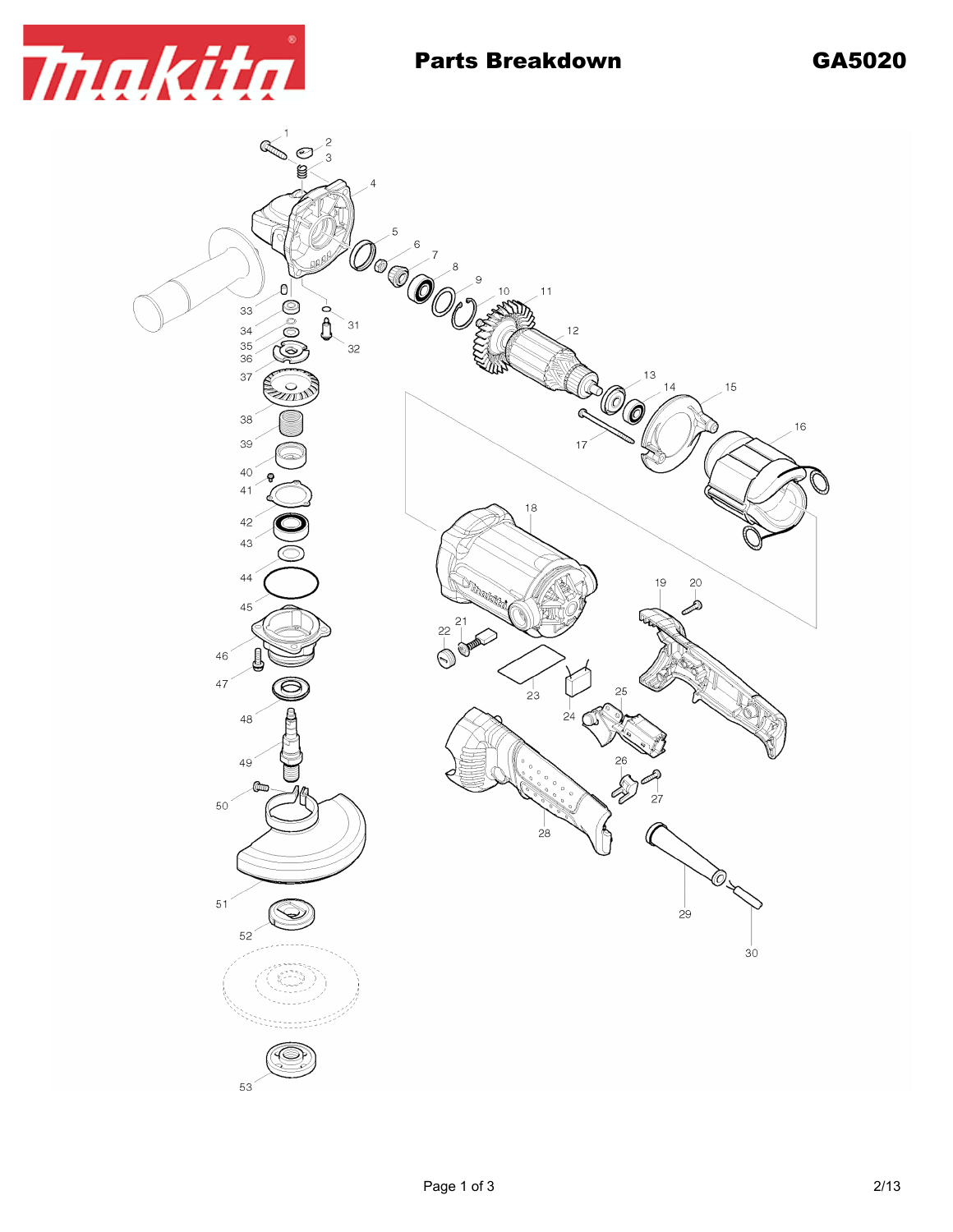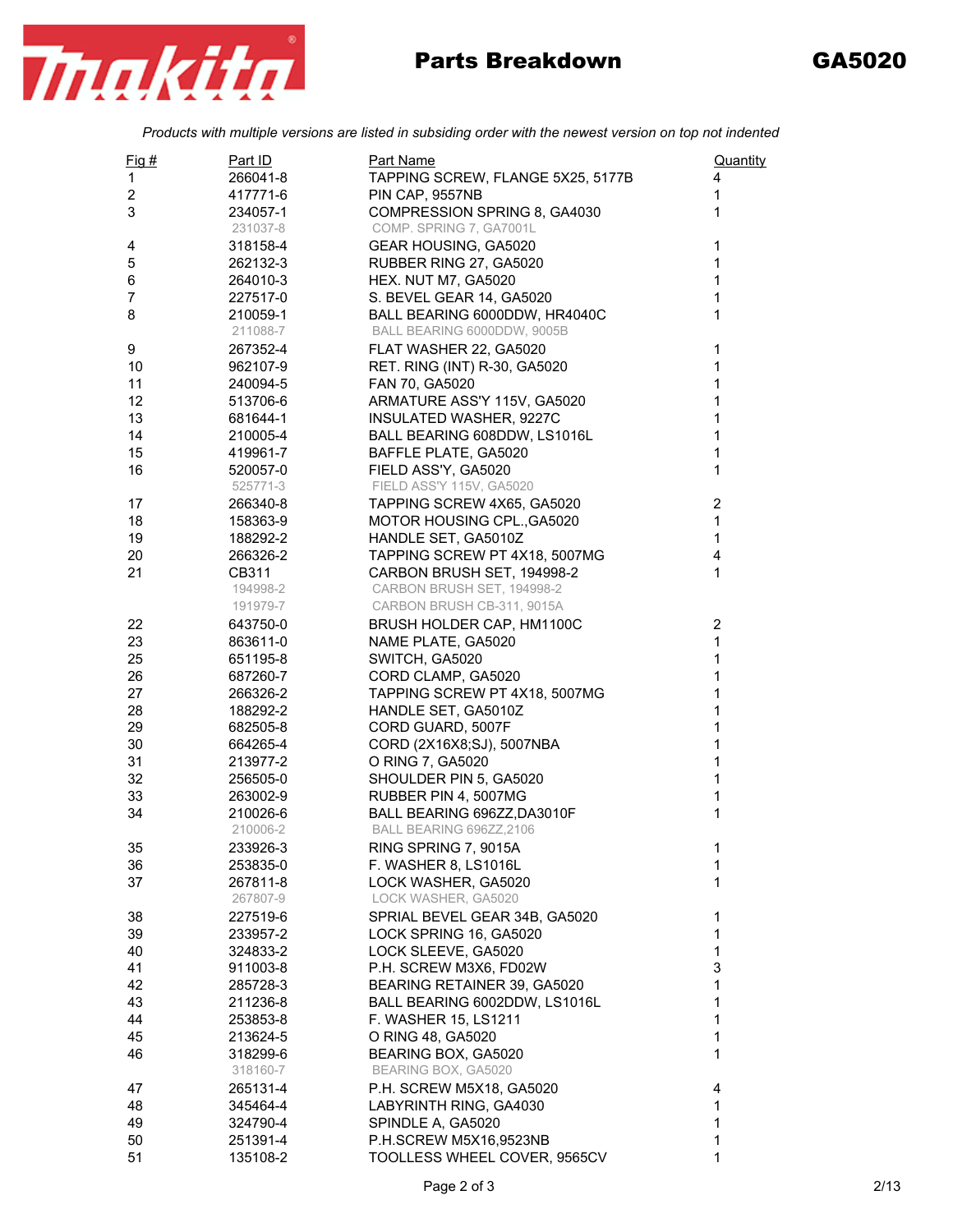

## Parts Breakdown GA5020

*Products with multiple versions are listed in subsiding order with the newest version on top not indented*

| $Fig. \#$               | Part ID              | Part Name                                               | Quantity       |
|-------------------------|----------------------|---------------------------------------------------------|----------------|
| 1                       | 266041-8             | TAPPING SCREW, FLANGE 5X25, 5177B                       | 4              |
| $\overline{\mathbf{c}}$ | 417771-6             | PIN CAP, 9557NB                                         | 1              |
| 3                       | 234057-1             | COMPRESSION SPRING 8, GA4030                            | 1              |
|                         | 231037-8             | COMP. SPRING 7, GA7001L                                 |                |
| 4                       | 318158-4             | GEAR HOUSING, GA5020                                    | 1              |
| 5                       | 262132-3             | RUBBER RING 27, GA5020                                  | 1              |
| 6                       | 264010-3             | <b>HEX. NUT M7, GA5020</b>                              | 1              |
| $\overline{7}$          | 227517-0             | S. BEVEL GEAR 14, GA5020                                | 1              |
| 8                       | 210059-1             | BALL BEARING 6000DDW, HR4040C                           | 1              |
|                         | 211088-7             | BALL BEARING 6000DDW, 9005B                             |                |
| 9                       | 267352-4             | FLAT WASHER 22, GA5020                                  | 1<br>1         |
| 10                      | 962107-9             | RET. RING (INT) R-30, GA5020                            |                |
| 11<br>12                | 240094-5             | FAN 70, GA5020                                          | 1<br>1         |
| 13                      | 513706-6<br>681644-1 | ARMATURE ASS'Y 115V, GA5020                             | 1              |
| 14                      | 210005-4             | INSULATED WASHER, 9227C<br>BALL BEARING 608DDW, LS1016L | 1              |
| 15                      | 419961-7             | BAFFLE PLATE, GA5020                                    | 1              |
| 16                      | 520057-0             | FIELD ASS'Y, GA5020                                     | 1              |
|                         | 525771-3             | FIELD ASS'Y 115V, GA5020                                |                |
| 17                      | 266340-8             | TAPPING SCREW 4X65, GA5020                              | $\overline{2}$ |
| 18                      | 158363-9             | MOTOR HOUSING CPL., GA5020                              | $\mathbf{1}$   |
| 19                      | 188292-2             | HANDLE SET, GA5010Z                                     | $\mathbf{1}$   |
| 20                      | 266326-2             | TAPPING SCREW PT 4X18, 5007MG                           | 4              |
| 21                      | CB311                | CARBON BRUSH SET, 194998-2                              | 1              |
|                         | 194998-2             | CARBON BRUSH SET, 194998-2                              |                |
|                         | 191979-7             | CARBON BRUSH CB-311, 9015A                              |                |
| 22                      | 643750-0             | BRUSH HOLDER CAP, HM1100C                               | $\overline{2}$ |
| 23                      | 863611-0             | NAME PLATE, GA5020                                      | $\mathbf{1}$   |
| 25                      | 651195-8             | SWITCH, GA5020                                          | 1              |
| 26                      | 687260-7             | CORD CLAMP, GA5020                                      | 1              |
| 27                      | 266326-2             | TAPPING SCREW PT 4X18, 5007MG                           | 1              |
| 28                      | 188292-2             | HANDLE SET, GA5010Z                                     | 1              |
| 29                      | 682505-8             | CORD GUARD, 5007F                                       | 1              |
| 30                      | 664265-4             | CORD (2X16X8;SJ), 5007NBA                               | 1              |
| 31                      | 213977-2             | O RING 7, GA5020                                        | 1              |
| 32                      | 256505-0             | SHOULDER PIN 5, GA5020                                  | 1              |
| 33                      | 263002-9             | RUBBER PIN 4, 5007MG                                    | 1              |
| 34                      | 210026-6             | BALL BEARING 696ZZ, DA3010F                             | 1              |
|                         | 210006-2             | BALL BEARING 696ZZ,2106                                 |                |
| 35                      | 233926-3             | RING SPRING 7, 9015A                                    | 1              |
| 36                      | 253835-0             | F. WASHER 8, LS1016L                                    | 1              |
| 37                      | 267811-8             | LOCK WASHER, GA5020                                     | 1              |
|                         | 267807-9             | LOCK WASHER, GA5020                                     |                |
| 38                      | 227519-6             | SPRIAL BEVEL GEAR 34B, GA5020                           | 1              |
| 39                      | 233957-2             | LOCK SPRING 16, GA5020                                  | 1              |
| 40                      | 324833-2             | LOCK SLEEVE, GA5020                                     | 1              |
| 41                      | 911003-8             | P.H. SCREW M3X6, FD02W                                  | 3              |
| 42                      | 285728-3             | BEARING RETAINER 39, GA5020                             | 1              |
| 43                      | 211236-8             | BALL BEARING 6002DDW, LS1016L                           | 1              |
| 44                      | 253853-8             | F. WASHER 15, LS1211                                    | 1              |
| 45                      | 213624-5             | O RING 48, GA5020                                       | 1              |
| 46                      | 318299-6             | BEARING BOX, GA5020                                     | 1              |
|                         | 318160-7             | BEARING BOX, GA5020                                     |                |
| 47                      | 265131-4             | P.H. SCREW M5X18, GA5020                                | 4              |
| 48                      | 345464-4             | LABYRINTH RING, GA4030                                  | 1              |
| 49                      | 324790-4             | SPINDLE A, GA5020                                       | 1              |
| 50                      | 251391-4             | P.H.SCREW M5X16,9523NB                                  | 1              |
| 51                      | 135108-2             | TOOLLESS WHEEL COVER, 9565CV                            | 1              |